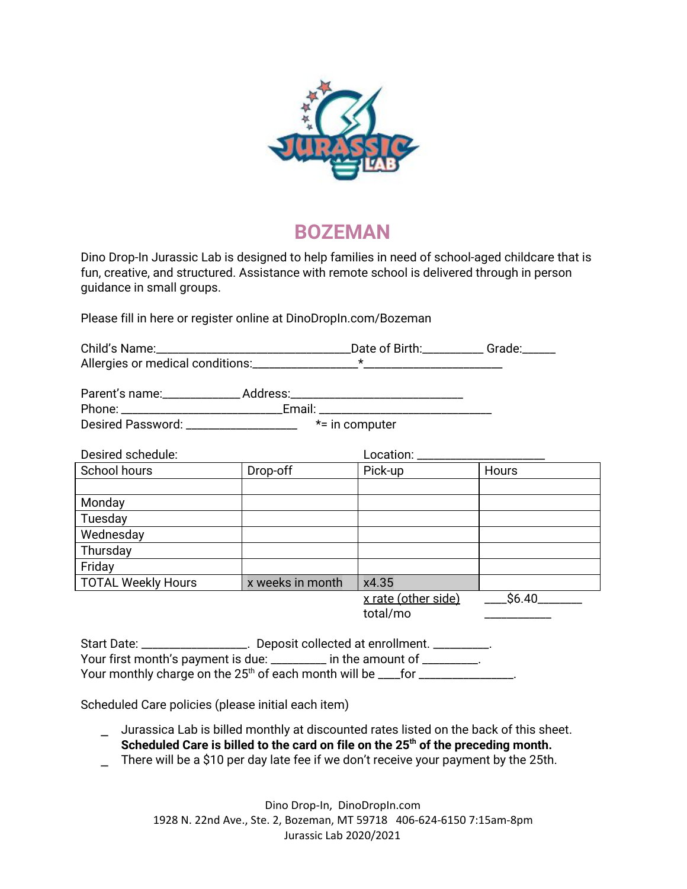

## **BOZEMAN**

Dino Drop-In Jurassic Lab is designed to help families in need of school-aged childcare that is fun, creative, and structured. Assistance with remote school is delivered through in person guidance in small groups.

Please fill in here or register online at DinoDropIn.com/Bozeman

| Phone: _________________________________Email: _________________________________ |                  |                                        |             |  |
|----------------------------------------------------------------------------------|------------------|----------------------------------------|-------------|--|
| Desired Password: ___________________<br>$*$ = in computer                       |                  |                                        |             |  |
| Desired schedule:                                                                |                  | Location: _______________________      |             |  |
| School hours                                                                     | Drop-off         | Pick-up                                | Hours       |  |
|                                                                                  |                  |                                        |             |  |
| Monday                                                                           |                  |                                        |             |  |
| Tuesday                                                                          |                  |                                        |             |  |
| Wednesday                                                                        |                  |                                        |             |  |
| Thursday                                                                         |                  |                                        |             |  |
| Friday                                                                           |                  |                                        |             |  |
| <b>TOTAL Weekly Hours</b>                                                        | x weeks in month | x4.35                                  |             |  |
|                                                                                  |                  | <u>x rate (other side)</u><br>total/mo | $\_$ \$6.40 |  |
| Start Date: __________________. Deposit collected at enrollment. _________.      |                  |                                        |             |  |

Your first month's payment is due: \_\_\_\_\_\_\_\_\_ in the amount of \_\_\_\_\_\_\_\_\_. Your monthly charge on the 25<sup>th</sup> of each month will be \_\_\_\_for \_\_\_\_\_\_\_\_\_\_\_\_\_\_\_\_\_.

Scheduled Care policies (please initial each item)

- ⎯ Jurassica Lab is billed monthly at discounted rates listed on the back of this sheet. **Scheduled Care is billed to the card on file on the 25 th of the preceding month.**
- There will be a \$10 per day late fee if we don't receive your payment by the 25th.

Dino Drop-In, DinoDropIn.com 1928 N. 22nd Ave., Ste. 2, Bozeman, MT 59718 406-624-6150 7:15am-8pm Jurassic Lab 2020/2021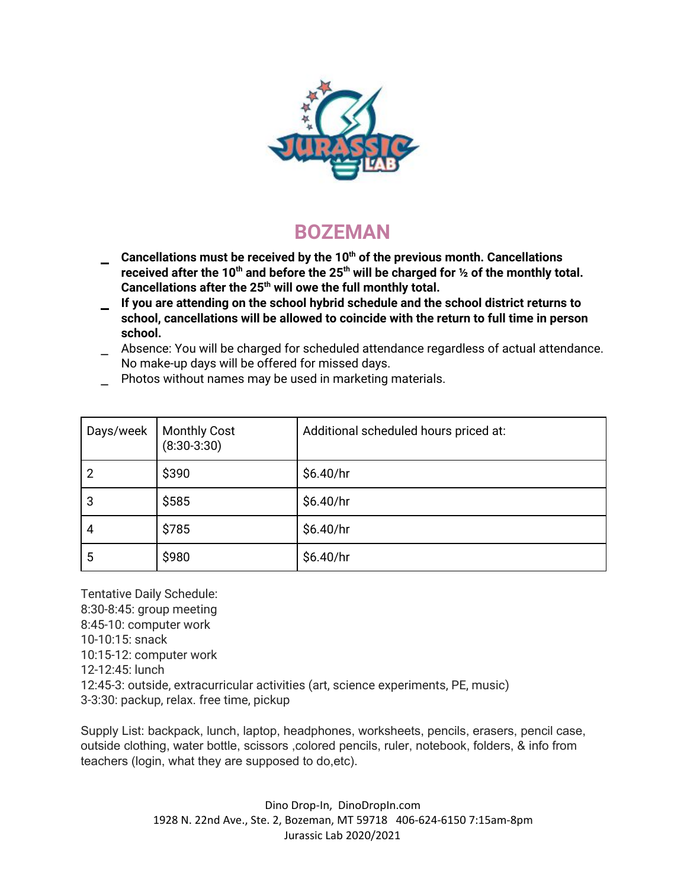

## **BOZEMAN**

- ⎯ **Cancellations must be received by the 10 th of the previous month. Cancellations received after the 10 th and before the 25 th will be charged for ½ of the monthly total. Cancellations after the 25 th will owe the full monthly total.**
- ⎯ **If you are attending on the school hybrid schedule and the school district returns to school, cancellations will be allowed to coincide with the return to full time in person school.**
- Absence: You will be charged for scheduled attendance regardless of actual attendance. No make-up days will be offered for missed days.
- Photos without names may be used in marketing materials.

| Days/week | <b>Monthly Cost</b><br>$(8:30-3:30)$ | Additional scheduled hours priced at: |
|-----------|--------------------------------------|---------------------------------------|
|           | \$390                                | \$6.40/hr                             |
| 3         | \$585                                | \$6.40/hr                             |
| 4         | \$785                                | \$6.40/hr                             |
| 5         | \$980                                | \$6.40/hr                             |

Tentative Daily Schedule: 8:30-8:45: group meeting 8:45-10: computer work 10-10:15: snack 10:15-12: computer work 12-12:45: lunch 12:45-3: outside, extracurricular activities (art, science experiments, PE, music) 3-3:30: packup, relax. free time, pickup

Supply List: backpack, lunch, laptop, headphones, worksheets, pencils, erasers, pencil case, outside clothing, water bottle, scissors ,colored pencils, ruler, notebook, folders, & info from teachers (login, what they are supposed to do,etc).

> Dino Drop-In, DinoDropIn.com 1928 N. 22nd Ave., Ste. 2, Bozeman, MT 59718 406-624-6150 7:15am-8pm Jurassic Lab 2020/2021